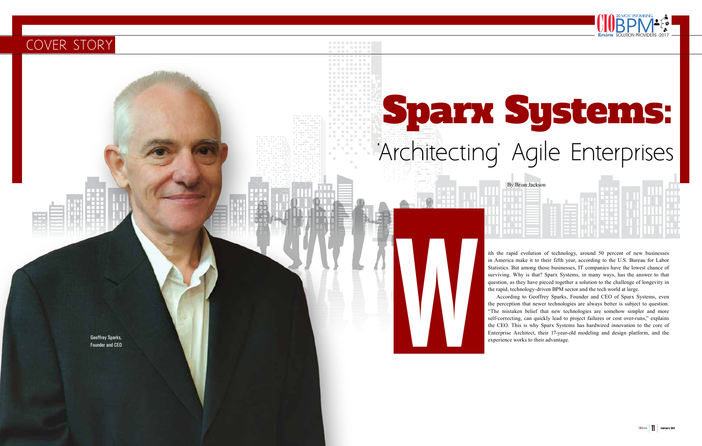# Sparx Systems: 'Architecting' Agile Enterprises

## COVER STORY

the perception that newer technologies are always better is subject to question. "The mistaken belief that new technologies are somehow simpler and more self-correcting, can quickly lead to project failures or cost over-runs," explains the CEO. This is why Sparx Systems has hardwired innovation to the core of Enterprise Architect, the modeling and design platform, and the state of the state of the state of the state of the state of the state of the state of the state of the Western State of the Western State of the State of the

ith the rapid evolution of technology, around 50 percent of new businesses in America make it to their fifth year, according to the U.S. Bureau for Labor Statistics. But among those businesses, IT companies have the lowest chance of surviving. Why is that? Sparx Systems, in many ways, has the answer to that question, as they have pieced together a solution to the challenge of longevity in the rapid, technology-driven BPM sector and the tech world at large. According to Geoffrey Sparks, Founder and CEO of Sparx Systems, even

Founder and CEO

By Brian Jackson